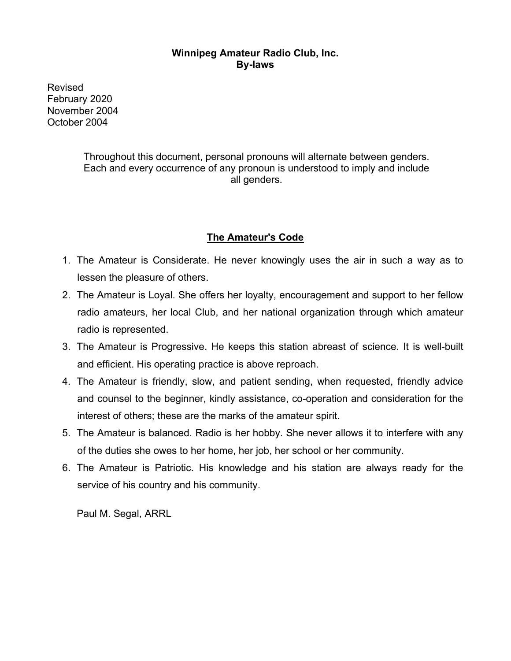### **Winnipeg Amateur Radio Club, Inc. By-laws**

Revised February 2020 November 2004 October 2004

> Throughout this document, personal pronouns will alternate between genders. Each and every occurrence of any pronoun is understood to imply and include all genders.

# **The Amateur's Code**

- 1. The Amateur is Considerate. He never knowingly uses the air in such a way as to lessen the pleasure of others.
- 2. The Amateur is Loyal. She offers her loyalty, encouragement and support to her fellow radio amateurs, her local Club, and her national organization through which amateur radio is represented.
- 3. The Amateur is Progressive. He keeps this station abreast of science. It is well-built and efficient. His operating practice is above reproach.
- 4. The Amateur is friendly, slow, and patient sending, when requested, friendly advice and counsel to the beginner, kindly assistance, co-operation and consideration for the interest of others; these are the marks of the amateur spirit.
- 5. The Amateur is balanced. Radio is her hobby. She never allows it to interfere with any of the duties she owes to her home, her job, her school or her community.
- 6. The Amateur is Patriotic. His knowledge and his station are always ready for the service of his country and his community.

Paul M. Segal, ARRL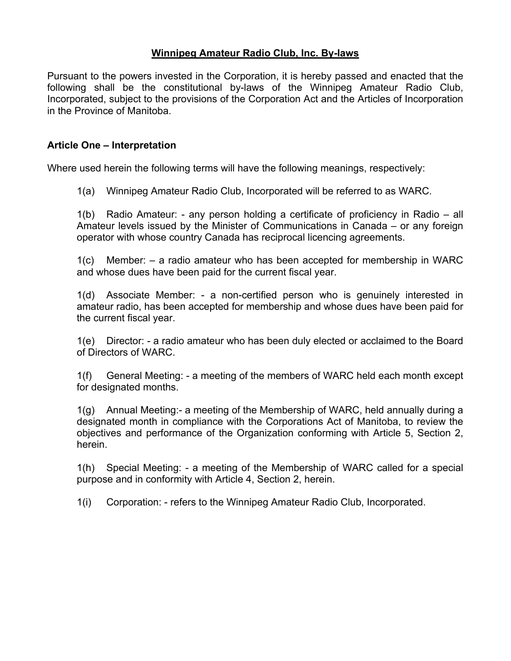### **Winnipeg Amateur Radio Club, Inc. By-laws**

Pursuant to the powers invested in the Corporation, it is hereby passed and enacted that the following shall be the constitutional by-laws of the Winnipeg Amateur Radio Club, Incorporated, subject to the provisions of the Corporation Act and the Articles of Incorporation in the Province of Manitoba.

### **Article One – Interpretation**

Where used herein the following terms will have the following meanings, respectively:

1(a) Winnipeg Amateur Radio Club, Incorporated will be referred to as WARC.

1(b) Radio Amateur: - any person holding a certificate of proficiency in Radio – all Amateur levels issued by the Minister of Communications in Canada – or any foreign operator with whose country Canada has reciprocal licencing agreements.

1(c) Member: – a radio amateur who has been accepted for membership in WARC and whose dues have been paid for the current fiscal year.

1(d) Associate Member: - a non-certified person who is genuinely interested in amateur radio, has been accepted for membership and whose dues have been paid for the current fiscal year.

1(e) Director: - a radio amateur who has been duly elected or acclaimed to the Board of Directors of WARC.

1(f) General Meeting: - a meeting of the members of WARC held each month except for designated months.

1(g) Annual Meeting:- a meeting of the Membership of WARC, held annually during a designated month in compliance with the Corporations Act of Manitoba, to review the objectives and performance of the Organization conforming with Article 5, Section 2, herein.

1(h) Special Meeting: - a meeting of the Membership of WARC called for a special purpose and in conformity with Article 4, Section 2, herein.

1(i) Corporation: - refers to the Winnipeg Amateur Radio Club, Incorporated.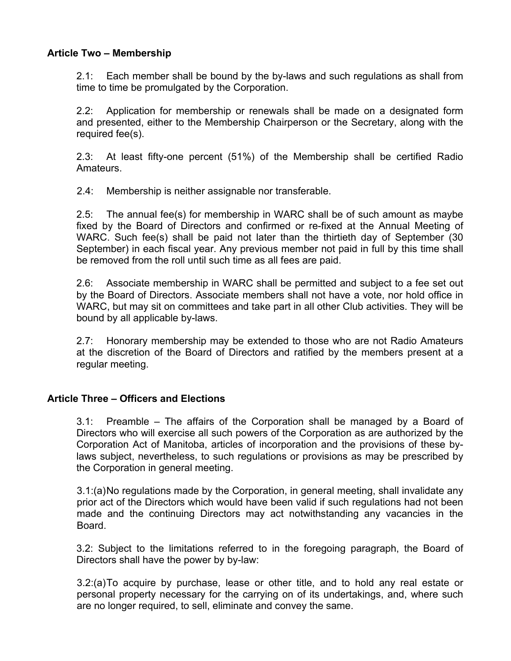### **Article Two – Membership**

2.1: Each member shall be bound by the by-laws and such regulations as shall from time to time be promulgated by the Corporation.

2.2: Application for membership or renewals shall be made on a designated form and presented, either to the Membership Chairperson or the Secretary, along with the required fee(s).

2.3: At least fifty-one percent (51%) of the Membership shall be certified Radio Amateurs.

2.4: Membership is neither assignable nor transferable.

2.5: The annual fee(s) for membership in WARC shall be of such amount as maybe fixed by the Board of Directors and confirmed or re-fixed at the Annual Meeting of WARC. Such fee(s) shall be paid not later than the thirtieth day of September (30 September) in each fiscal year. Any previous member not paid in full by this time shall be removed from the roll until such time as all fees are paid.

2.6: Associate membership in WARC shall be permitted and subject to a fee set out by the Board of Directors. Associate members shall not have a vote, nor hold office in WARC, but may sit on committees and take part in all other Club activities. They will be bound by all applicable by-laws.

2.7: Honorary membership may be extended to those who are not Radio Amateurs at the discretion of the Board of Directors and ratified by the members present at a regular meeting.

### **Article Three – Officers and Elections**

3.1: Preamble – The affairs of the Corporation shall be managed by a Board of Directors who will exercise all such powers of the Corporation as are authorized by the Corporation Act of Manitoba, articles of incorporation and the provisions of these bylaws subject, nevertheless, to such regulations or provisions as may be prescribed by the Corporation in general meeting.

3.1:(a)No regulations made by the Corporation, in general meeting, shall invalidate any prior act of the Directors which would have been valid if such regulations had not been made and the continuing Directors may act notwithstanding any vacancies in the Board.

3.2: Subject to the limitations referred to in the foregoing paragraph, the Board of Directors shall have the power by by-law:

3.2:(a)To acquire by purchase, lease or other title, and to hold any real estate or personal property necessary for the carrying on of its undertakings, and, where such are no longer required, to sell, eliminate and convey the same.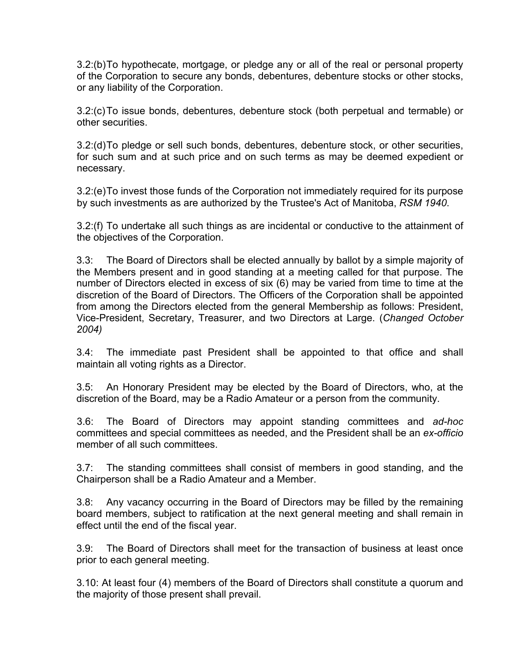3.2:(b)To hypothecate, mortgage, or pledge any or all of the real or personal property of the Corporation to secure any bonds, debentures, debenture stocks or other stocks, or any liability of the Corporation.

3.2:(c)To issue bonds, debentures, debenture stock (both perpetual and termable) or other securities.

3.2:(d)To pledge or sell such bonds, debentures, debenture stock, or other securities, for such sum and at such price and on such terms as may be deemed expedient or necessary.

3.2:(e)To invest those funds of the Corporation not immediately required for its purpose by such investments as are authorized by the Trustee's Act of Manitoba, *RSM 1940*.

3.2:(f) To undertake all such things as are incidental or conductive to the attainment of the objectives of the Corporation.

3.3: The Board of Directors shall be elected annually by ballot by a simple majority of the Members present and in good standing at a meeting called for that purpose. The number of Directors elected in excess of six (6) may be varied from time to time at the discretion of the Board of Directors. The Officers of the Corporation shall be appointed from among the Directors elected from the general Membership as follows: President, Vice-President, Secretary, Treasurer, and two Directors at Large. (*Changed October 2004)*

3.4: The immediate past President shall be appointed to that office and shall maintain all voting rights as a Director.

3.5: An Honorary President may be elected by the Board of Directors, who, at the discretion of the Board, may be a Radio Amateur or a person from the community.

3.6: The Board of Directors may appoint standing committees and *ad-hoc* committees and special committees as needed, and the President shall be an *ex-officio* member of all such committees.

3.7: The standing committees shall consist of members in good standing, and the Chairperson shall be a Radio Amateur and a Member.

3.8: Any vacancy occurring in the Board of Directors may be filled by the remaining board members, subject to ratification at the next general meeting and shall remain in effect until the end of the fiscal year.

3.9: The Board of Directors shall meet for the transaction of business at least once prior to each general meeting.

3.10: At least four (4) members of the Board of Directors shall constitute a quorum and the majority of those present shall prevail.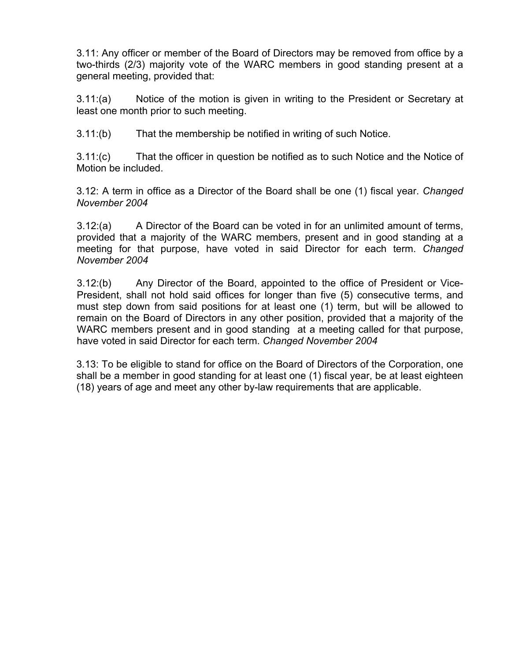3.11: Any officer or member of the Board of Directors may be removed from office by a two-thirds (2/3) majority vote of the WARC members in good standing present at a general meeting, provided that:

3.11:(a) Notice of the motion is given in writing to the President or Secretary at least one month prior to such meeting.

3.11:(b) That the membership be notified in writing of such Notice.

3.11:(c) That the officer in question be notified as to such Notice and the Notice of Motion be included.

3.12: A term in office as a Director of the Board shall be one (1) fiscal year. *Changed November 2004*

3.12:(a) A Director of the Board can be voted in for an unlimited amount of terms, provided that a majority of the WARC members, present and in good standing at a meeting for that purpose, have voted in said Director for each term. *Changed November 2004*

3.12:(b) Any Director of the Board, appointed to the office of President or Vice-President, shall not hold said offices for longer than five (5) consecutive terms, and must step down from said positions for at least one (1) term, but will be allowed to remain on the Board of Directors in any other position, provided that a majority of the WARC members present and in good standing at a meeting called for that purpose, have voted in said Director for each term. *Changed November 2004*

3.13: To be eligible to stand for office on the Board of Directors of the Corporation, one shall be a member in good standing for at least one (1) fiscal year, be at least eighteen (18) years of age and meet any other by-law requirements that are applicable.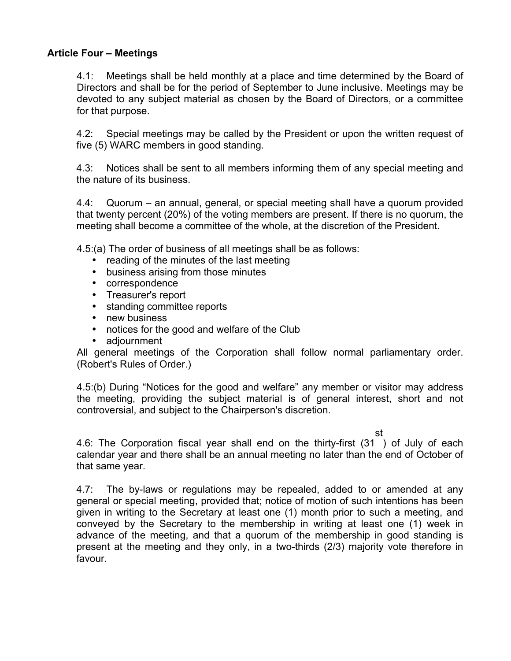### **Article Four – Meetings**

4.1: Meetings shall be held monthly at a place and time determined by the Board of Directors and shall be for the period of September to June inclusive. Meetings may be devoted to any subject material as chosen by the Board of Directors, or a committee for that purpose.

4.2: Special meetings may be called by the President or upon the written request of five (5) WARC members in good standing.

4.3: Notices shall be sent to all members informing them of any special meeting and the nature of its business.

4.4: Quorum – an annual, general, or special meeting shall have a quorum provided that twenty percent (20%) of the voting members are present. If there is no quorum, the meeting shall become a committee of the whole, at the discretion of the President.

4.5:(a) The order of business of all meetings shall be as follows:

- reading of the minutes of the last meeting
- business arising from those minutes
- correspondence
- Treasurer's report
- standing committee reports
- new business
- notices for the good and welfare of the Club
- adjournment

All general meetings of the Corporation shall follow normal parliamentary order. (Robert's Rules of Order.)

4.5:(b) During "Notices for the good and welfare" any member or visitor may address the meeting, providing the subject material is of general interest, short and not controversial, and subject to the Chairperson's discretion.

st

4.6: The Corporation fiscal year shall end on the thirty-first (31 ) of July of each calendar year and there shall be an annual meeting no later than the end of October of that same year.

4.7: The by-laws or regulations may be repealed, added to or amended at any general or special meeting, provided that; notice of motion of such intentions has been given in writing to the Secretary at least one (1) month prior to such a meeting, and conveyed by the Secretary to the membership in writing at least one (1) week in advance of the meeting, and that a quorum of the membership in good standing is present at the meeting and they only, in a two-thirds (2/3) majority vote therefore in favour.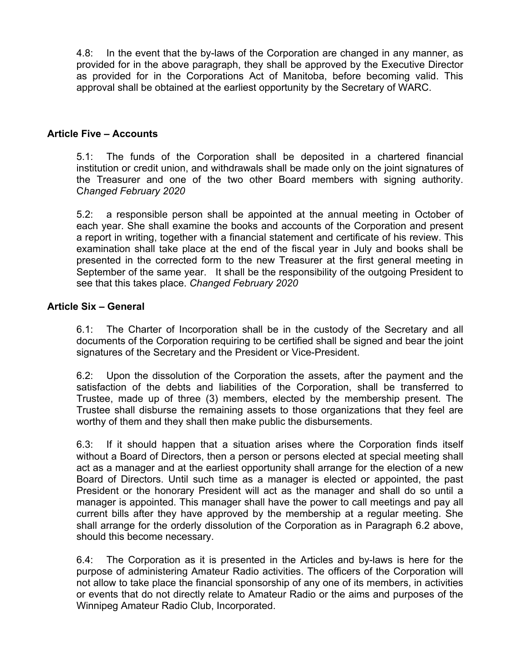4.8: In the event that the by-laws of the Corporation are changed in any manner, as provided for in the above paragraph, they shall be approved by the Executive Director as provided for in the Corporations Act of Manitoba, before becoming valid. This approval shall be obtained at the earliest opportunity by the Secretary of WARC.

#### **Article Five – Accounts**

5.1: The funds of the Corporation shall be deposited in a chartered financial institution or credit union, and withdrawals shall be made only on the joint signatures of the Treasurer and one of the two other Board members with signing authority. C*hanged February 2020*

5.2: a responsible person shall be appointed at the annual meeting in October of each year. She shall examine the books and accounts of the Corporation and present a report in writing, together with a financial statement and certificate of his review. This examination shall take place at the end of the fiscal year in July and books shall be presented in the corrected form to the new Treasurer at the first general meeting in September of the same year. It shall be the responsibility of the outgoing President to see that this takes place. *Changed February 2020*

#### **Article Six – General**

6.1: The Charter of Incorporation shall be in the custody of the Secretary and all documents of the Corporation requiring to be certified shall be signed and bear the joint signatures of the Secretary and the President or Vice-President.

6.2: Upon the dissolution of the Corporation the assets, after the payment and the satisfaction of the debts and liabilities of the Corporation, shall be transferred to Trustee, made up of three (3) members, elected by the membership present. The Trustee shall disburse the remaining assets to those organizations that they feel are worthy of them and they shall then make public the disbursements.

6.3: If it should happen that a situation arises where the Corporation finds itself without a Board of Directors, then a person or persons elected at special meeting shall act as a manager and at the earliest opportunity shall arrange for the election of a new Board of Directors. Until such time as a manager is elected or appointed, the past President or the honorary President will act as the manager and shall do so until a manager is appointed. This manager shall have the power to call meetings and pay all current bills after they have approved by the membership at a regular meeting. She shall arrange for the orderly dissolution of the Corporation as in Paragraph 6.2 above, should this become necessary.

6.4: The Corporation as it is presented in the Articles and by-laws is here for the purpose of administering Amateur Radio activities. The officers of the Corporation will not allow to take place the financial sponsorship of any one of its members, in activities or events that do not directly relate to Amateur Radio or the aims and purposes of the Winnipeg Amateur Radio Club, Incorporated.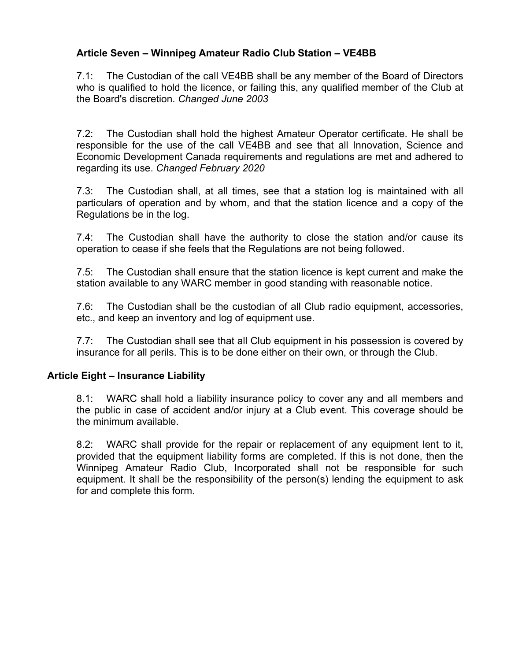## **Article Seven – Winnipeg Amateur Radio Club Station – VE4BB**

7.1: The Custodian of the call VE4BB shall be any member of the Board of Directors who is qualified to hold the licence, or failing this, any qualified member of the Club at the Board's discretion. *Changed June 2003*

7.2: The Custodian shall hold the highest Amateur Operator certificate. He shall be responsible for the use of the call VE4BB and see that all Innovation, Science and Economic Development Canada requirements and regulations are met and adhered to regarding its use. *Changed February 2020*

7.3: The Custodian shall, at all times, see that a station log is maintained with all particulars of operation and by whom, and that the station licence and a copy of the Regulations be in the log.

7.4: The Custodian shall have the authority to close the station and/or cause its operation to cease if she feels that the Regulations are not being followed.

7.5: The Custodian shall ensure that the station licence is kept current and make the station available to any WARC member in good standing with reasonable notice.

7.6: The Custodian shall be the custodian of all Club radio equipment, accessories, etc., and keep an inventory and log of equipment use.

7.7: The Custodian shall see that all Club equipment in his possession is covered by insurance for all perils. This is to be done either on their own, or through the Club.

## **Article Eight – Insurance Liability**

8.1: WARC shall hold a liability insurance policy to cover any and all members and the public in case of accident and/or injury at a Club event. This coverage should be the minimum available.

8.2: WARC shall provide for the repair or replacement of any equipment lent to it, provided that the equipment liability forms are completed. If this is not done, then the Winnipeg Amateur Radio Club, Incorporated shall not be responsible for such equipment. It shall be the responsibility of the person(s) lending the equipment to ask for and complete this form.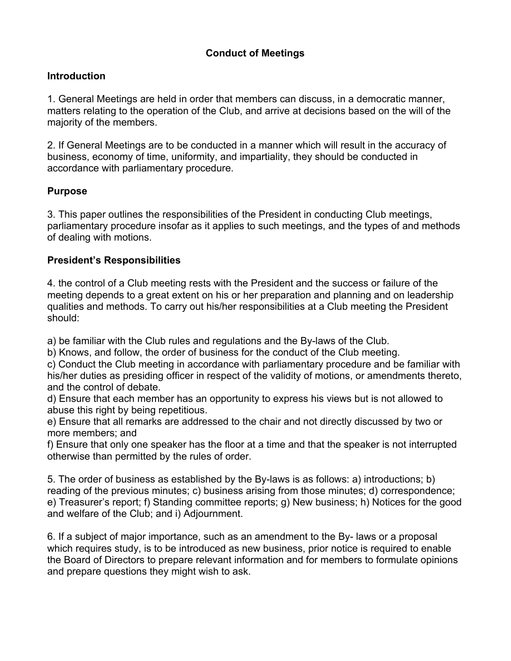# **Conduct of Meetings**

# **Introduction**

1. General Meetings are held in order that members can discuss, in a democratic manner, matters relating to the operation of the Club, and arrive at decisions based on the will of the majority of the members.

2. If General Meetings are to be conducted in a manner which will result in the accuracy of business, economy of time, uniformity, and impartiality, they should be conducted in accordance with parliamentary procedure.

# **Purpose**

3. This paper outlines the responsibilities of the President in conducting Club meetings, parliamentary procedure insofar as it applies to such meetings, and the types of and methods of dealing with motions.

# **President's Responsibilities**

4. the control of a Club meeting rests with the President and the success or failure of the meeting depends to a great extent on his or her preparation and planning and on leadership qualities and methods. To carry out his/her responsibilities at a Club meeting the President should:

a) be familiar with the Club rules and regulations and the By-laws of the Club.

b) Knows, and follow, the order of business for the conduct of the Club meeting.

c) Conduct the Club meeting in accordance with parliamentary procedure and be familiar with his/her duties as presiding officer in respect of the validity of motions, or amendments thereto, and the control of debate.

d) Ensure that each member has an opportunity to express his views but is not allowed to abuse this right by being repetitious.

e) Ensure that all remarks are addressed to the chair and not directly discussed by two or more members; and

f) Ensure that only one speaker has the floor at a time and that the speaker is not interrupted otherwise than permitted by the rules of order.

5. The order of business as established by the By-laws is as follows: a) introductions; b) reading of the previous minutes; c) business arising from those minutes; d) correspondence; e) Treasurer's report; f) Standing committee reports; g) New business; h) Notices for the good and welfare of the Club; and i) Adjournment.

6. If a subject of major importance, such as an amendment to the By- laws or a proposal which requires study, is to be introduced as new business, prior notice is required to enable the Board of Directors to prepare relevant information and for members to formulate opinions and prepare questions they might wish to ask.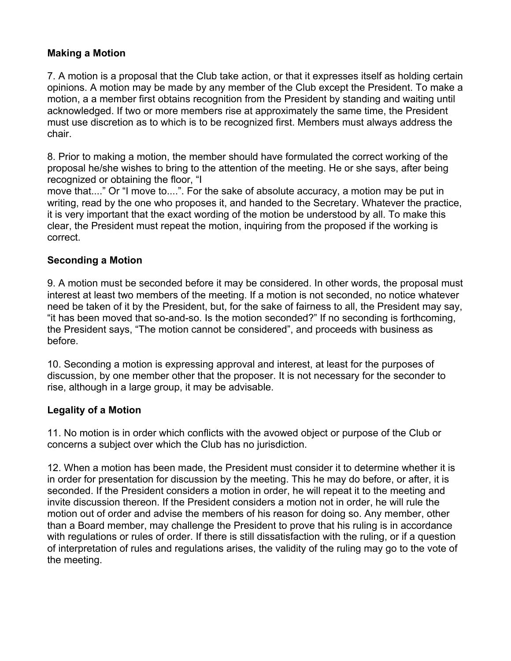## **Making a Motion**

7. A motion is a proposal that the Club take action, or that it expresses itself as holding certain opinions. A motion may be made by any member of the Club except the President. To make a motion, a a member first obtains recognition from the President by standing and waiting until acknowledged. If two or more members rise at approximately the same time, the President must use discretion as to which is to be recognized first. Members must always address the chair.

8. Prior to making a motion, the member should have formulated the correct working of the proposal he/she wishes to bring to the attention of the meeting. He or she says, after being recognized or obtaining the floor, "I

move that...." Or "I move to....". For the sake of absolute accuracy, a motion may be put in writing, read by the one who proposes it, and handed to the Secretary. Whatever the practice, it is very important that the exact wording of the motion be understood by all. To make this clear, the President must repeat the motion, inquiring from the proposed if the working is correct.

## **Seconding a Motion**

9. A motion must be seconded before it may be considered. In other words, the proposal must interest at least two members of the meeting. If a motion is not seconded, no notice whatever need be taken of it by the President, but, for the sake of fairness to all, the President may say, "it has been moved that so-and-so. Is the motion seconded?" If no seconding is forthcoming, the President says, "The motion cannot be considered", and proceeds with business as before.

10. Seconding a motion is expressing approval and interest, at least for the purposes of discussion, by one member other that the proposer. It is not necessary for the seconder to rise, although in a large group, it may be advisable.

## **Legality of a Motion**

11. No motion is in order which conflicts with the avowed object or purpose of the Club or concerns a subject over which the Club has no jurisdiction.

12. When a motion has been made, the President must consider it to determine whether it is in order for presentation for discussion by the meeting. This he may do before, or after, it is seconded. If the President considers a motion in order, he will repeat it to the meeting and invite discussion thereon. If the President considers a motion not in order, he will rule the motion out of order and advise the members of his reason for doing so. Any member, other than a Board member, may challenge the President to prove that his ruling is in accordance with regulations or rules of order. If there is still dissatisfaction with the ruling, or if a question of interpretation of rules and regulations arises, the validity of the ruling may go to the vote of the meeting.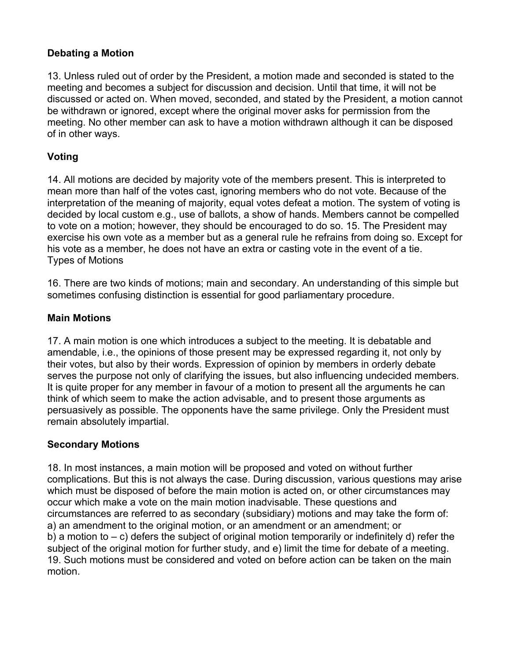## **Debating a Motion**

13. Unless ruled out of order by the President, a motion made and seconded is stated to the meeting and becomes a subject for discussion and decision. Until that time, it will not be discussed or acted on. When moved, seconded, and stated by the President, a motion cannot be withdrawn or ignored, except where the original mover asks for permission from the meeting. No other member can ask to have a motion withdrawn although it can be disposed of in other ways.

## **Voting**

14. All motions are decided by majority vote of the members present. This is interpreted to mean more than half of the votes cast, ignoring members who do not vote. Because of the interpretation of the meaning of majority, equal votes defeat a motion. The system of voting is decided by local custom e.g., use of ballots, a show of hands. Members cannot be compelled to vote on a motion; however, they should be encouraged to do so. 15. The President may exercise his own vote as a member but as a general rule he refrains from doing so. Except for his vote as a member, he does not have an extra or casting vote in the event of a tie. Types of Motions

16. There are two kinds of motions; main and secondary. An understanding of this simple but sometimes confusing distinction is essential for good parliamentary procedure.

## **Main Motions**

17. A main motion is one which introduces a subject to the meeting. It is debatable and amendable, i.e., the opinions of those present may be expressed regarding it, not only by their votes, but also by their words. Expression of opinion by members in orderly debate serves the purpose not only of clarifying the issues, but also influencing undecided members. It is quite proper for any member in favour of a motion to present all the arguments he can think of which seem to make the action advisable, and to present those arguments as persuasively as possible. The opponents have the same privilege. Only the President must remain absolutely impartial.

### **Secondary Motions**

18. In most instances, a main motion will be proposed and voted on without further complications. But this is not always the case. During discussion, various questions may arise which must be disposed of before the main motion is acted on, or other circumstances may occur which make a vote on the main motion inadvisable. These questions and circumstances are referred to as secondary (subsidiary) motions and may take the form of: a) an amendment to the original motion, or an amendment or an amendment; or b) a motion to  $-$  c) defers the subject of original motion temporarily or indefinitely d) refer the subject of the original motion for further study, and e) limit the time for debate of a meeting. 19. Such motions must be considered and voted on before action can be taken on the main motion.